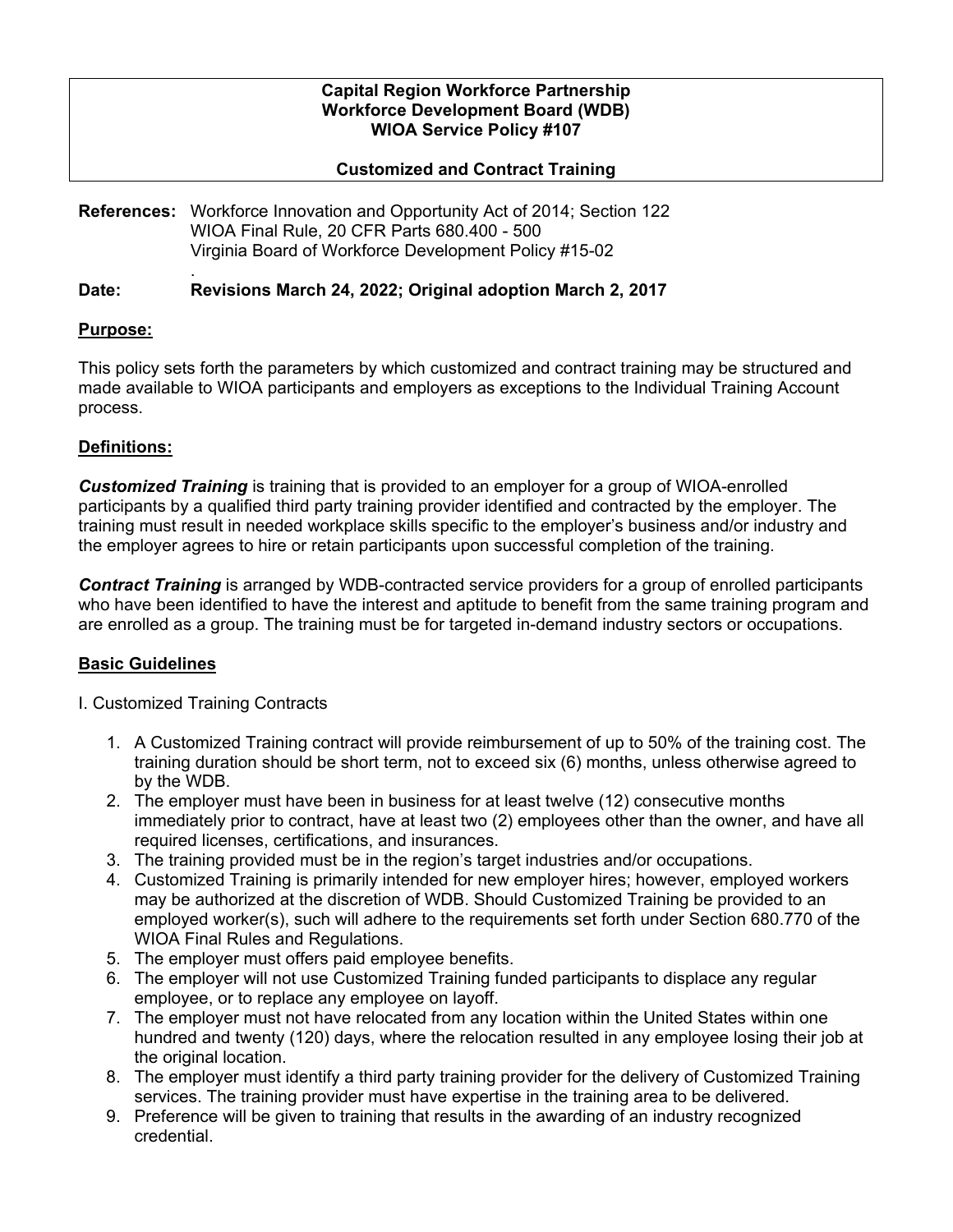### **Capital Region Workforce Partnership Workforce Development Board (WDB) WIOA Service Policy #107**

## **Customized and Contract Training**

**References:** Workforce Innovation and Opportunity Act of 2014; Section 122 WIOA Final Rule, 20 CFR Parts 680.400 - 500 Virginia Board of Workforce Development Policy #15-02

#### . **Date: Revisions March 24, 2022; Original adoption March 2, 2017**

## **Purpose:**

This policy sets forth the parameters by which customized and contract training may be structured and made available to WIOA participants and employers as exceptions to the Individual Training Account process.

# **Definitions:**

*Customized Training* is training that is provided to an employer for a group of WIOA-enrolled participants by a qualified third party training provider identified and contracted by the employer. The training must result in needed workplace skills specific to the employer's business and/or industry and the employer agrees to hire or retain participants upon successful completion of the training.

*Contract Training* is arranged by WDB-contracted service providers for a group of enrolled participants who have been identified to have the interest and aptitude to benefit from the same training program and are enrolled as a group. The training must be for targeted in-demand industry sectors or occupations.

## **Basic Guidelines**

- I. Customized Training Contracts
	- 1. A Customized Training contract will provide reimbursement of up to 50% of the training cost. The training duration should be short term, not to exceed six (6) months, unless otherwise agreed to by the WDB.
	- 2. The employer must have been in business for at least twelve (12) consecutive months immediately prior to contract, have at least two (2) employees other than the owner, and have all required licenses, certifications, and insurances.
	- 3. The training provided must be in the region's target industries and/or occupations.
	- 4. Customized Training is primarily intended for new employer hires; however, employed workers may be authorized at the discretion of WDB. Should Customized Training be provided to an employed worker(s), such will adhere to the requirements set forth under Section 680.770 of the WIOA Final Rules and Regulations.
	- 5. The employer must offers paid employee benefits.
	- 6. The employer will not use Customized Training funded participants to displace any regular employee, or to replace any employee on layoff.
	- 7. The employer must not have relocated from any location within the United States within one hundred and twenty (120) days, where the relocation resulted in any employee losing their job at the original location.
	- 8. The employer must identify a third party training provider for the delivery of Customized Training services. The training provider must have expertise in the training area to be delivered.
	- 9. Preference will be given to training that results in the awarding of an industry recognized credential.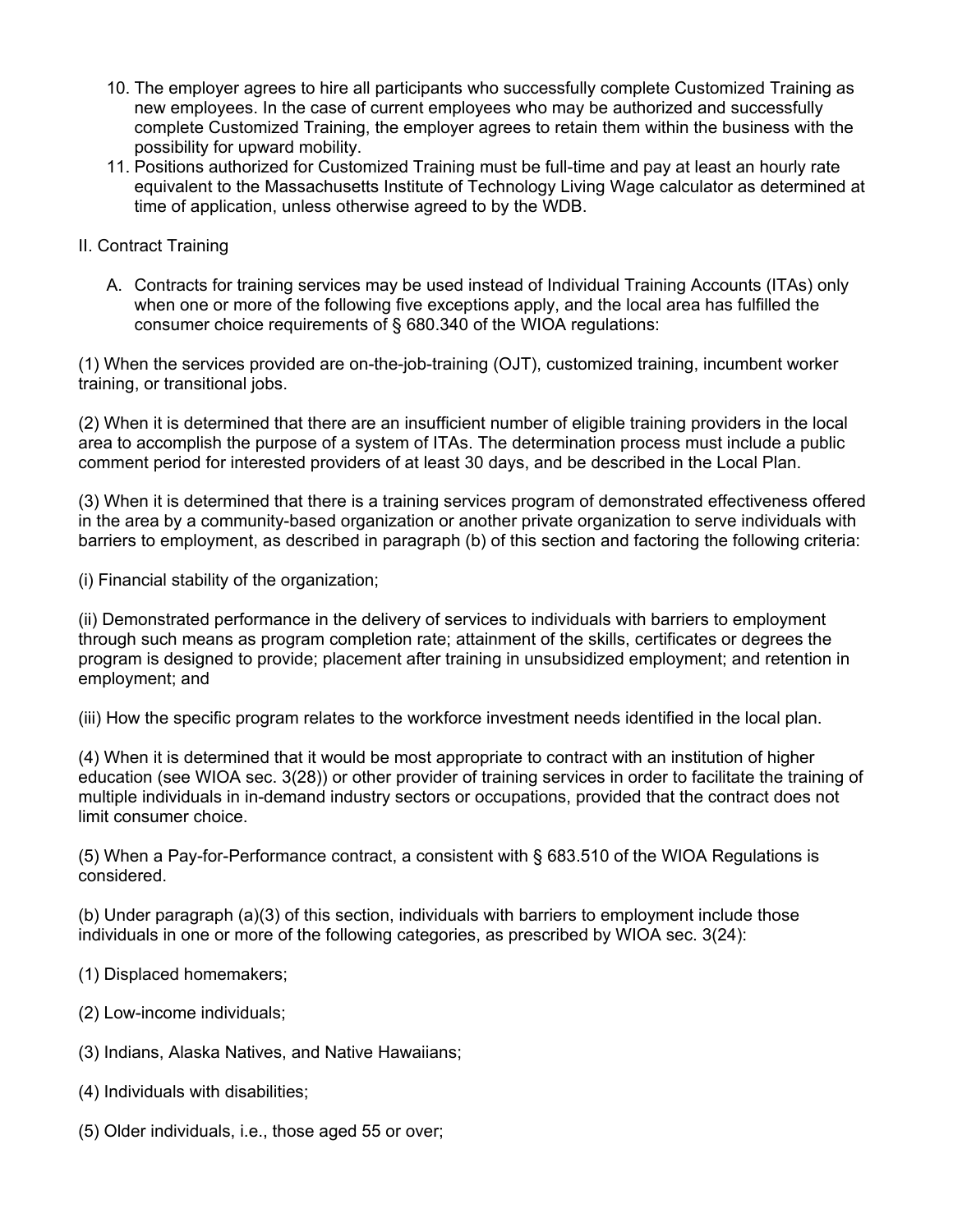- 10. The employer agrees to hire all participants who successfully complete Customized Training as new employees. In the case of current employees who may be authorized and successfully complete Customized Training, the employer agrees to retain them within the business with the possibility for upward mobility.
- 11. Positions authorized for Customized Training must be full-time and pay at least an hourly rate equivalent to the Massachusetts Institute of Technology Living Wage calculator as determined at time of application, unless otherwise agreed to by the WDB.
- II. Contract Training
	- A. Contracts for training services may be used instead of Individual Training Accounts (ITAs) only when one or more of the following five exceptions apply, and the local area has fulfilled the consumer choice requirements of § 680.340 of the WIOA regulations:

(1) When the services provided are on-the-job-training (OJT), customized training, incumbent worker training, or transitional jobs.

(2) When it is determined that there are an insufficient number of eligible training providers in the local area to accomplish the purpose of a system of ITAs. The determination process must include a public comment period for interested providers of at least 30 days, and be described in the Local Plan.

(3) When it is determined that there is a training services program of demonstrated effectiveness offered in the area by a community-based organization or another private organization to serve individuals with barriers to employment, as described in paragraph (b) of this section and factoring the following criteria:

(i) Financial stability of the organization;

(ii) Demonstrated performance in the delivery of services to individuals with barriers to employment through such means as program completion rate; attainment of the skills, certificates or degrees the program is designed to provide; placement after training in unsubsidized employment; and retention in employment; and

(iii) How the specific program relates to the workforce investment needs identified in the local plan.

(4) When it is determined that it would be most appropriate to contract with an institution of higher education (see WIOA sec. 3(28)) or other provider of training services in order to facilitate the training of multiple individuals in in-demand industry sectors or occupations, provided that the contract does not limit consumer choice.

(5) When a Pay-for-Performance contract, a consistent with § 683.510 of the WIOA Regulations is considered.

(b) Under paragraph (a)(3) of this section, individuals with barriers to employment include those individuals in one or more of the following categories, as prescribed by WIOA sec. 3(24):

- (1) Displaced homemakers;
- (2) Low-income individuals;
- (3) Indians, Alaska Natives, and Native Hawaiians;
- (4) Individuals with disabilities;
- (5) Older individuals, i.e., those aged 55 or over;